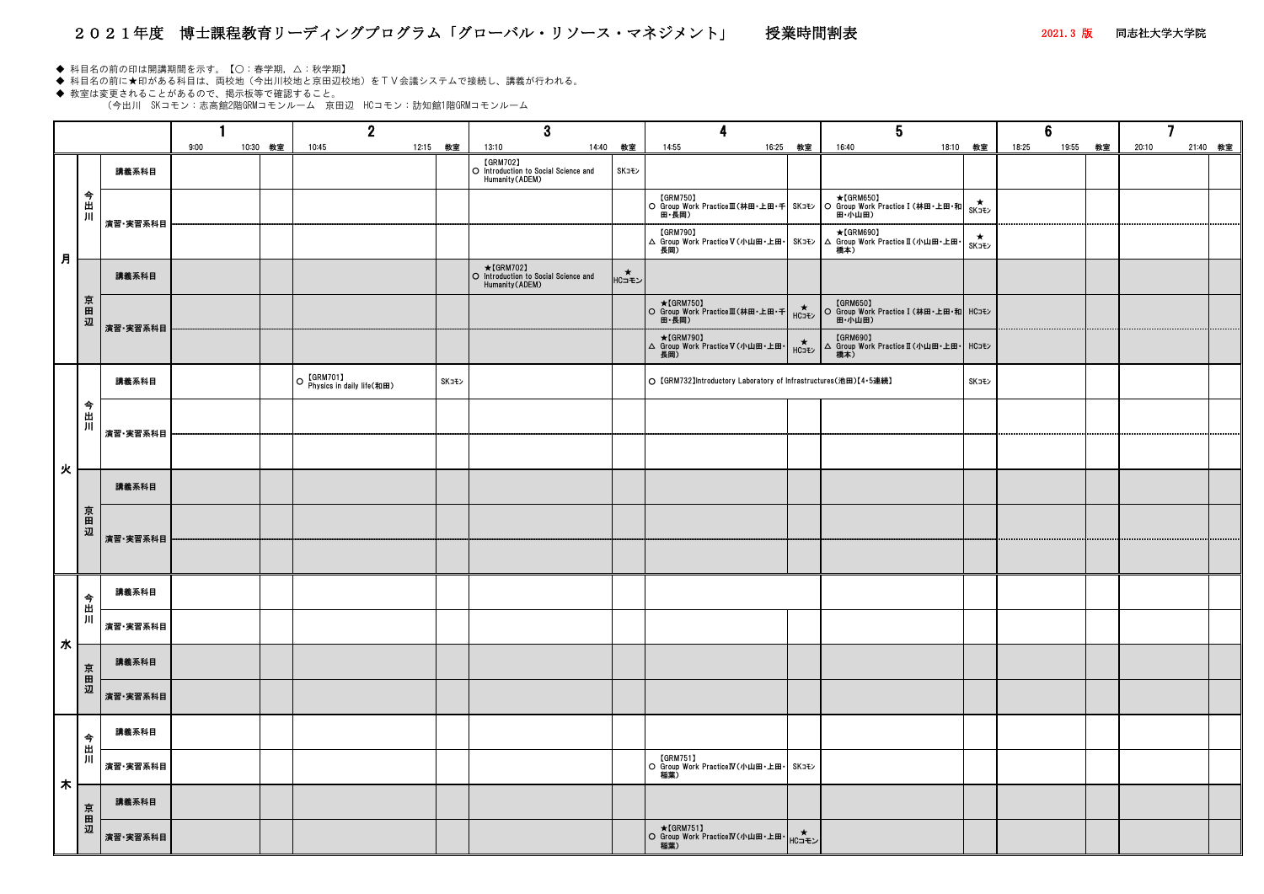## 2021年度 博士課程教育リーディングプログラム「グローバル・リソース・マネジメント」 授業時間割表 2021.3 版 同志社大学大学院

- ◆ 科目名の前の印は開講期間を示す。【○:春学期,△:秋学期】
- ◆ 科目名の前に★印がある科目は、両校地(今出川校地と京田辺校地)をTV会議システムで接続し、講義が行われる。

◆ 教室は変更されることがあるので、掲示板等で確認すること。 (今出川 SKコモン:志高館2階GRMコモンルーム 京田辺 HCコモン:訪知館1階GRMコモンルーム

|   |     |          |      |       |    | $\mathbf 2$                                      |       |       | 3                                                                    |             |          |
|---|-----|----------|------|-------|----|--------------------------------------------------|-------|-------|----------------------------------------------------------------------|-------------|----------|
|   |     |          | 9:00 | 10:30 | 教室 | 10:45                                            | 12:15 | 教室    | 14:40<br>13:10                                                       | 教室          |          |
|   | 今出川 | 講義系科目    |      |       |    |                                                  |       |       | [GRM702]<br>O Introduction to Social Science and<br>Humanity (ADEM)  | SKコモン       |          |
|   |     | 演習·実習系科目 |      |       |    |                                                  |       |       |                                                                      |             | $\circ$  |
| 月 |     |          |      |       |    |                                                  |       |       |                                                                      |             | $\Delta$ |
|   |     | 講義系科目    |      |       |    |                                                  |       |       | ★【GRM702】<br>○ Introduction to Social Science and<br>Humanity (ADEM) | │<br>│HC⊐モン |          |
|   | 京田辺 | 演習·実習系科目 |      |       |    |                                                  |       |       |                                                                      |             | $\circ$  |
|   |     |          |      |       |    |                                                  |       |       |                                                                      |             | $\Delta$ |
|   |     | 講義系科目    |      |       |    | 【GRM701】<br>Physics in daily life(和田)<br>$\circ$ |       | SKコモン |                                                                      |             | $\circ$  |
|   | 今出川 | 演習·実習系科目 |      |       |    |                                                  |       |       |                                                                      |             |          |
| 火 |     |          |      |       |    |                                                  |       |       |                                                                      |             |          |
|   |     | 講義系科目    |      |       |    |                                                  |       |       |                                                                      |             |          |
|   | 京田辺 | 演習·実習系科目 |      |       |    |                                                  |       |       |                                                                      |             |          |
|   |     |          |      |       |    |                                                  |       |       |                                                                      |             |          |
|   | 今出川 | 講義系科目    |      |       |    |                                                  |       |       |                                                                      |             |          |
| 水 |     | 演習·実習系科目 |      |       |    |                                                  |       |       |                                                                      |             |          |
|   | 京田辺 | 講義系科目    |      |       |    |                                                  |       |       |                                                                      |             |          |
|   |     | 演習·実習系科目 |      |       |    |                                                  |       |       |                                                                      |             |          |
|   | 今   | 講義系科目    |      |       |    |                                                  |       |       |                                                                      |             |          |
| 木 | 出川  | 演習·実習系科目 |      |       |    |                                                  |       |       |                                                                      |             | $\circ$  |
|   | 京田辺 | 講義系科目    |      |       |    |                                                  |       |       |                                                                      |             |          |
|   |     | 演習·実習系科目 |      |       |    |                                                  |       |       |                                                                      |             | $\circ$  |

|                  |                                           |          | $\bf{3}$                                                                   |                   |                                                                     |                                    |                                                                       |                      |                   |
|------------------|-------------------------------------------|----------|----------------------------------------------------------------------------|-------------------|---------------------------------------------------------------------|------------------------------------|-----------------------------------------------------------------------|----------------------|-------------------|
| 9:00<br>10:30 教室 | 10:45                                     | 12:15 教室 | 13:10                                                                      | 14:40 教室          | 14:55                                                               | 16:25 教室                           | 18:10 教室<br>16:40                                                     | 18:25<br>19:55<br>教室 | 21:40 教室<br>20:10 |
|                  |                                           |          | <b>[GRM702]</b><br>O Introduction to Social Science and<br>Humanity(ADEM)  | SKコモン             |                                                                     |                                    |                                                                       |                      |                   |
|                  |                                           |          |                                                                            |                   |                                                                     |                                    |                                                                       |                      |                   |
|                  |                                           |          |                                                                            |                   |                                                                     |                                    | <del>★</del><br>SK⊐ <del>t</del> ン                                    |                      |                   |
|                  |                                           |          | $\star$ [GRM702]<br>O Introduction to Social Science and<br>Humanity(ADEM) | $\star$<br> HCコモン |                                                                     |                                    |                                                                       |                      |                   |
|                  |                                           |          |                                                                            |                   |                                                                     |                                    | <b>[GRM650]</b><br>○ Group Work Practice I (林田・上田・和 HCコモン  <br>田·小山田) |                      |                   |
|                  |                                           |          |                                                                            |                   | $\star$ [GRM790]<br>△ Group Work Practice V (小山田・上田・                | $H$ C <sub>J</sub> + $\rightarrow$ | [GRM690]<br> △ Group Work PracticeⅡ(小山田・上田・ HCコモン  <br>橋本)            |                      |                   |
|                  | O 【GRM701】<br>O Physics in daily life(和田) | SKコモン    |                                                                            |                   | O 【GRM732】Introductory Laboratory of Infrastructures(池田)【4·5連続】     |                                    | SKコモン                                                                 |                      |                   |
|                  |                                           |          |                                                                            |                   |                                                                     |                                    |                                                                       |                      |                   |
|                  |                                           |          |                                                                            |                   |                                                                     |                                    |                                                                       |                      |                   |
|                  |                                           |          |                                                                            |                   |                                                                     |                                    |                                                                       |                      |                   |
|                  |                                           |          |                                                                            |                   |                                                                     |                                    |                                                                       |                      |                   |
|                  |                                           |          |                                                                            |                   |                                                                     |                                    |                                                                       |                      |                   |
|                  |                                           |          |                                                                            |                   |                                                                     |                                    |                                                                       |                      |                   |
|                  |                                           |          |                                                                            |                   |                                                                     |                                    |                                                                       |                      |                   |
|                  |                                           |          |                                                                            |                   |                                                                     |                                    |                                                                       |                      |                   |
|                  |                                           |          |                                                                            |                   |                                                                     |                                    |                                                                       |                      |                   |
|                  |                                           |          |                                                                            |                   |                                                                     |                                    |                                                                       |                      |                   |
|                  |                                           |          |                                                                            |                   | [GRM751]<br>  O Group Work PracticeIV(小山田・上田・ SKコモン<br>稲葉)          |                                    |                                                                       |                      |                   |
|                  |                                           |          |                                                                            |                   |                                                                     |                                    |                                                                       |                      |                   |
|                  |                                           |          |                                                                            |                   | <b> ★[GRM751]</b><br>○ Group Work PracticeIV(小山田・上田・ HCコモン )<br>稲葉) |                                    |                                                                       |                      |                   |
|                  |                                           |          |                                                                            |                   |                                                                     |                                    |                                                                       |                      |                   |